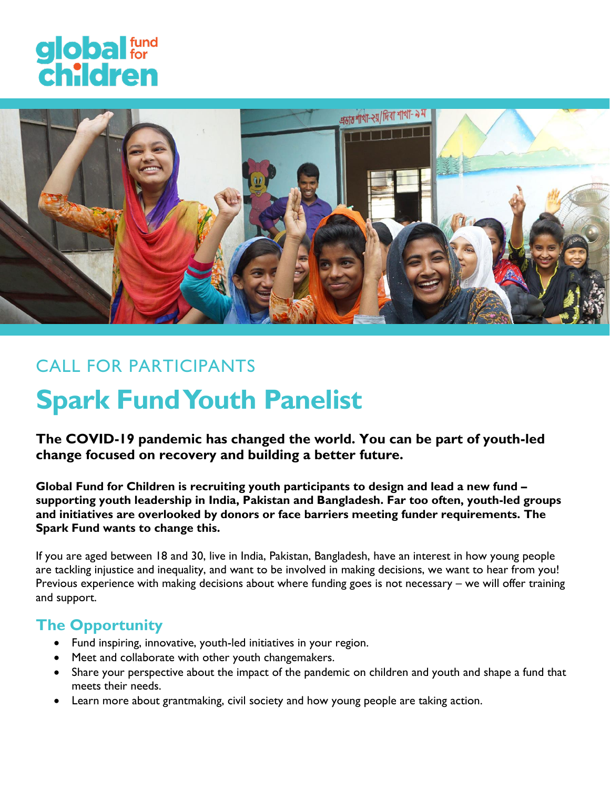



# CALL FOR PARTICIPANTS **Spark Fund Youth Panelist**

**The COVID-19 pandemic has changed the world. You can be part of youth-led change focused on recovery and building a better future.** 

**Global Fund for Children is recruiting youth participants to design and lead a new fund – supporting youth leadership in India, Pakistan and Bangladesh. Far too often, youth-led groups and initiatives are overlooked by donors or face barriers meeting funder requirements. The Spark Fund wants to change this.** 

If you are aged between 18 and 30, live in India, Pakistan, Bangladesh, have an interest in how young people are tackling injustice and inequality, and want to be involved in making decisions, we want to hear from you! Previous experience with making decisions about where funding goes is not necessary – we will offer training and support.

# **The Opportunity**

- Fund inspiring, innovative, youth-led initiatives in your region.
- Meet and collaborate with other youth changemakers.
- Share your perspective about the impact of the pandemic on children and youth and shape a fund that meets their needs.
- Learn more about grantmaking, civil society and how young people are taking action.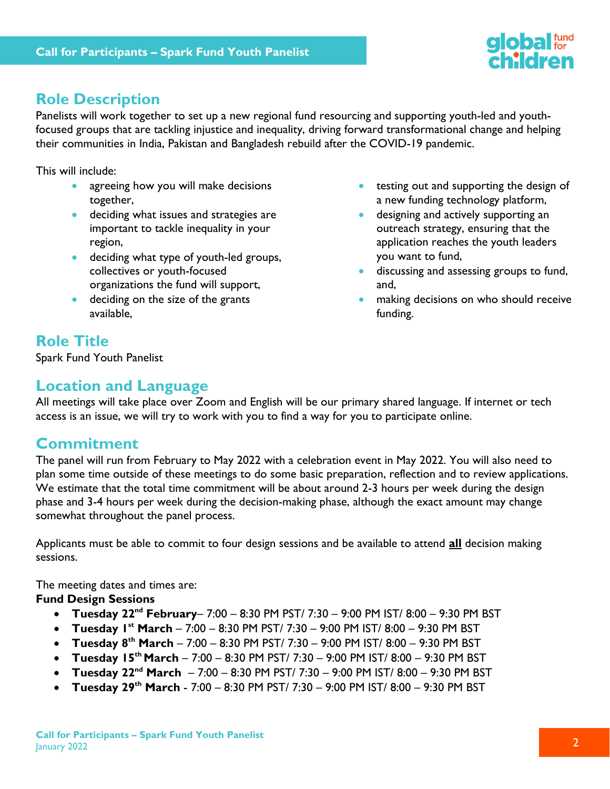

# **Role Description**

Panelists will work together to set up a new regional fund resourcing and supporting youth-led and youthfocused groups that are tackling injustice and inequality, driving forward transformational change and helping their communities in India, Pakistan and Bangladesh rebuild after the COVID-19 pandemic.

This will include:

- agreeing how you will make decisions together,
- **deciding what issues and strategies are** important to tackle inequality in your region,
- **deciding what type of youth-led groups,** collectives or youth-focused organizations the fund will support,
- **•** deciding on the size of the grants available,
- **•** testing out and supporting the design of a new funding technology platform,
- **designing and actively supporting an** outreach strategy, ensuring that the application reaches the youth leaders you want to fund,
- **discussing and assessing groups to fund,** and,
- making decisions on who should receive funding.

# **Role Title**

Spark Fund Youth Panelist

## **Location and Language**

All meetings will take place over Zoom and English will be our primary shared language. If internet or tech access is an issue, we will try to work with you to find a way for you to participate online.

# **Commitment**

The panel will run from February to May 2022 with a celebration event in May 2022. You will also need to plan some time outside of these meetings to do some basic preparation, reflection and to review applications. We estimate that the total time commitment will be about around 2-3 hours per week during the design phase and 3-4 hours per week during the decision-making phase, although the exact amount may change somewhat throughout the panel process.

Applicants must be able to commit to four design sessions and be available to attend **all** decision making sessions.

The meeting dates and times are:

#### **Fund Design Sessions**

- **Tuesday 22nd February** 7:00 8:30 PM PST/ 7:30 9:00 PM IST/ 8:00 9:30 PM BST
- **Tuesday 1 st March** 7:00 8:30 PM PST/ 7:30 9:00 PM IST/ 8:00 9:30 PM BST
- **Tuesday 8th March** 7:00 8:30 PM PST/ 7:30 9:00 PM IST/ 8:00 9:30 PM BST
- **Tuesday 15th March** 7:00 8:30 PM PST/ 7:30 9:00 PM IST/ 8:00 9:30 PM BST
- **Tuesday 22nd March**  7:00 8:30 PM PST/ 7:30 9:00 PM IST/ 8:00 9:30 PM BST
- **Tuesday 29th March** 7:00 8:30 PM PST/ 7:30 9:00 PM IST/ 8:00 9:30 PM BST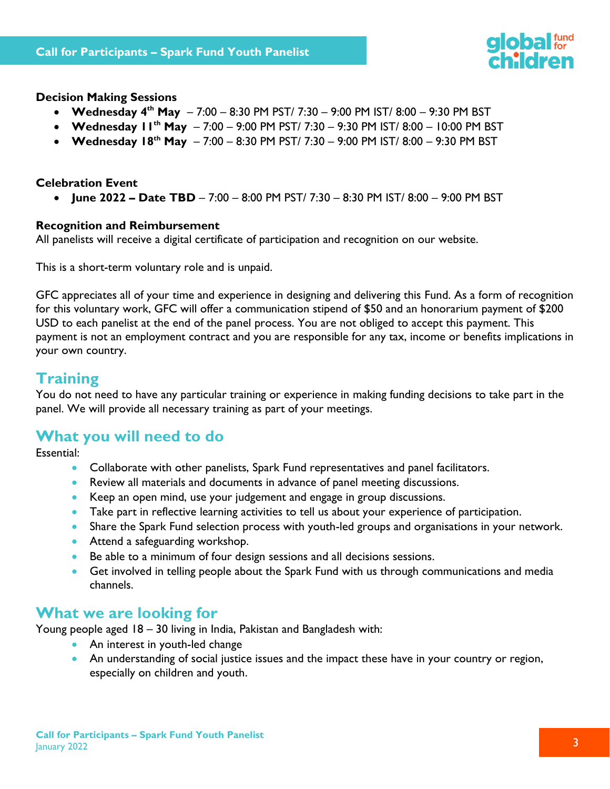

#### **Decision Making Sessions**

- **Wednesday 4th May**  7:00 8:30 PM PST/ 7:30 9:00 PM IST/ 8:00 9:30 PM BST
- **Wednesday 11th May**  7:00 9:00 PM PST/ 7:30 9:30 PM IST/ 8:00 10:00 PM BST
- **Wednesday 18th May** 7:00 8:30 PM PST/ 7:30 9:00 PM IST/ 8:00 9:30 PM BST

#### **Celebration Event**

**June 2022 – Date TBD** – 7:00 – 8:00 PM PST/ 7:30 – 8:30 PM IST/ 8:00 – 9:00 PM BST

#### **Recognition and Reimbursement**

All panelists will receive a digital certificate of participation and recognition on our website.

This is a short-term voluntary role and is unpaid.

GFC appreciates all of your time and experience in designing and delivering this Fund. As a form of recognition for this voluntary work, GFC will offer a communication stipend of \$50 and an honorarium payment of \$200 USD to each panelist at the end of the panel process. You are not obliged to accept this payment. This payment is not an employment contract and you are responsible for any tax, income or benefits implications in your own country.

### **Training**

You do not need to have any particular training or experience in making funding decisions to take part in the panel. We will provide all necessary training as part of your meetings.

### **What you will need to do**

Essential:

- Collaborate with other panelists, Spark Fund representatives and panel facilitators.
- Review all materials and documents in advance of panel meeting discussions.
- Keep an open mind, use your judgement and engage in group discussions.
- Take part in reflective learning activities to tell us about your experience of participation.
- Share the Spark Fund selection process with youth-led groups and organisations in your network.
- Attend a safeguarding workshop.
- Be able to a minimum of four design sessions and all decisions sessions.
- Get involved in telling people about the Spark Fund with us through communications and media channels.

### **What we are looking for**

Young people aged 18 – 30 living in India, Pakistan and Bangladesh with:

- An interest in youth-led change
- An understanding of social justice issues and the impact these have in your country or region, especially on children and youth.